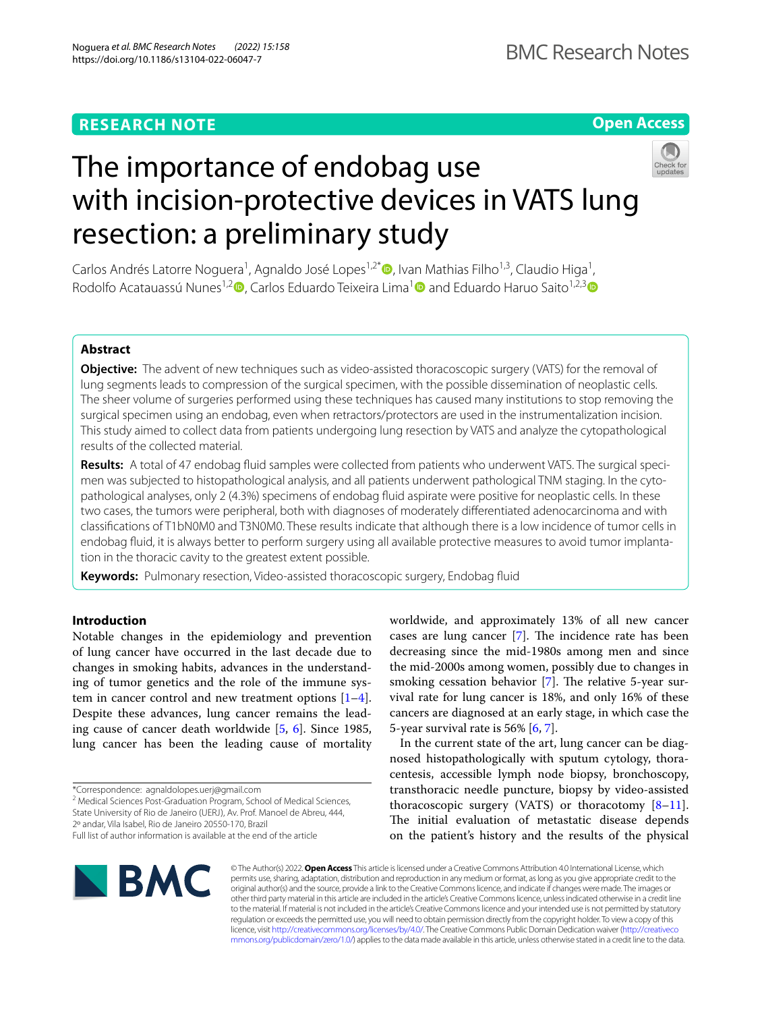## **RESEARCH NOTE**

**Open Access**

# The importance of endobag use with incision-protective devices in VATS lung resection: a preliminary study



Carlos Andrés Latorre Noguera<sup>1</sup>, Agnaldo José Lopes<sup>1,2[\\*](http://orcid.org/0000-0001-8598-4878)</sup>®, Ivan Mathias Filho<sup>1,3</sup>, Claudio Higa<sup>1</sup>, Rodolfo Acatauassú Nunes<sup>1[,](https://orcid.org/0000-0002-0732-3713)2</sup><sup>0</sup>, Carlos Eduardo Teixeira Lima<sup>1</sup><sup>0</sup> and Eduardo Haruo Saito<sup>1,2,3</sup><sup>0</sup>

## **Abstract**

**Objective:** The advent of new techniques such as video-assisted thoracoscopic surgery (VATS) for the removal of lung segments leads to compression of the surgical specimen, with the possible dissemination of neoplastic cells. The sheer volume of surgeries performed using these techniques has caused many institutions to stop removing the surgical specimen using an endobag, even when retractors/protectors are used in the instrumentalization incision. This study aimed to collect data from patients undergoing lung resection by VATS and analyze the cytopathological results of the collected material.

**Results:** A total of 47 endobag fuid samples were collected from patients who underwent VATS. The surgical specimen was subjected to histopathological analysis, and all patients underwent pathological TNM staging. In the cytopathological analyses, only 2 (4.3%) specimens of endobag fuid aspirate were positive for neoplastic cells. In these two cases, the tumors were peripheral, both with diagnoses of moderately diferentiated adenocarcinoma and with classifcations of T1bN0M0 and T3N0M0. These results indicate that although there is a low incidence of tumor cells in endobag fuid, it is always better to perform surgery using all available protective measures to avoid tumor implantation in the thoracic cavity to the greatest extent possible.

**Keywords:** Pulmonary resection, Video-assisted thoracoscopic surgery, Endobag fuid

## **Introduction**

Notable changes in the epidemiology and prevention of lung cancer have occurred in the last decade due to changes in smoking habits, advances in the understanding of tumor genetics and the role of the immune system in cancer control and new treatment options [\[1](#page-3-0)[–4](#page-4-0)]. Despite these advances, lung cancer remains the leading cause of cancer death worldwide [\[5](#page-4-1), [6\]](#page-4-2). Since 1985, lung cancer has been the leading cause of mortality

<sup>2</sup> Medical Sciences Post-Graduation Program, School of Medical Sciences, State University of Rio de Janeiro (UERJ), Av. Prof. Manoel de Abreu, 444, 2º andar, Vila Isabel, Rio de Janeiro 20550-170, Brazil

worldwide, and approximately 13% of all new cancer cases are lung cancer  $[7]$  $[7]$ . The incidence rate has been decreasing since the mid-1980s among men and since the mid-2000s among women, possibly due to changes in smoking cessation behavior  $[7]$  $[7]$  $[7]$ . The relative 5-year survival rate for lung cancer is 18%, and only 16% of these cancers are diagnosed at an early stage, in which case the 5-year survival rate is 56% [\[6](#page-4-2), [7\]](#page-4-3).

In the current state of the art, lung cancer can be diagnosed histopathologically with sputum cytology, thoracentesis, accessible lymph node biopsy, bronchoscopy, transthoracic needle puncture, biopsy by video-assisted thoracoscopic surgery (VATS) or thoracotomy  $[8-11]$  $[8-11]$ . The initial evaluation of metastatic disease depends on the patient's history and the results of the physical



© The Author(s) 2022. **Open Access** This article is licensed under a Creative Commons Attribution 4.0 International License, which permits use, sharing, adaptation, distribution and reproduction in any medium or format, as long as you give appropriate credit to the original author(s) and the source, provide a link to the Creative Commons licence, and indicate if changes were made. The images or other third party material in this article are included in the article's Creative Commons licence, unless indicated otherwise in a credit line to the material. If material is not included in the article's Creative Commons licence and your intended use is not permitted by statutory regulation or exceeds the permitted use, you will need to obtain permission directly from the copyright holder. To view a copy of this licence, visit [http://creativecommons.org/licenses/by/4.0/.](http://creativecommons.org/licenses/by/4.0/) The Creative Commons Public Domain Dedication waiver ([http://creativeco](http://creativecommons.org/publicdomain/zero/1.0/) [mmons.org/publicdomain/zero/1.0/](http://creativecommons.org/publicdomain/zero/1.0/)) applies to the data made available in this article, unless otherwise stated in a credit line to the data.

<sup>\*</sup>Correspondence: agnaldolopes.uerj@gmail.com

Full list of author information is available at the end of the article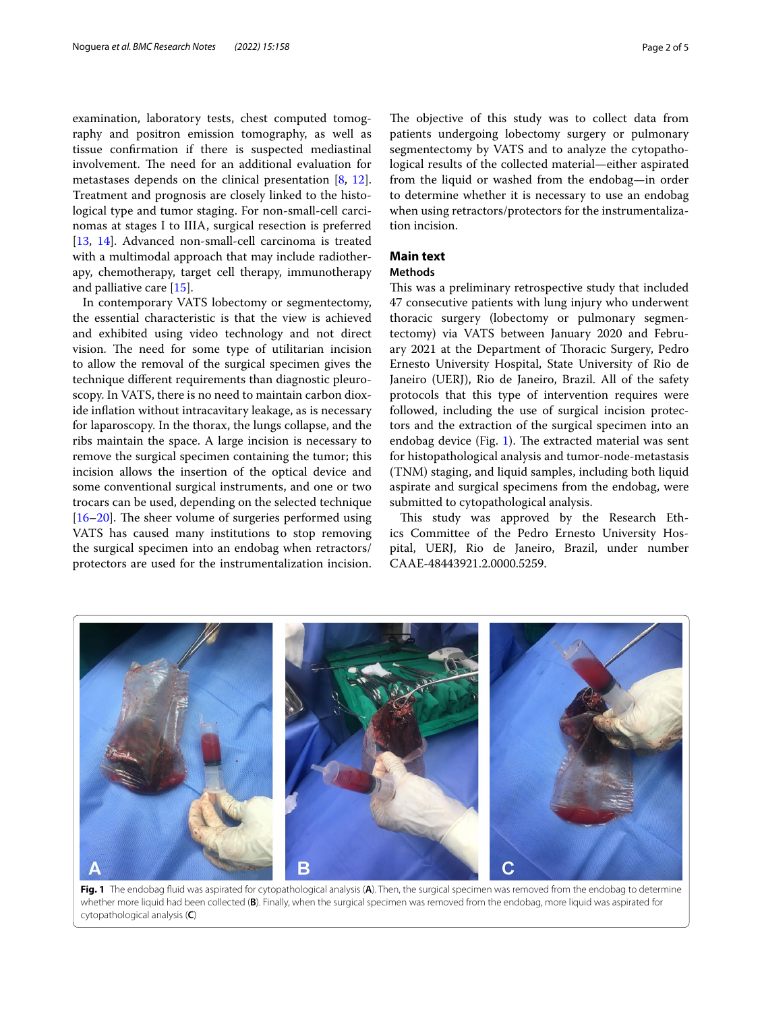examination, laboratory tests, chest computed tomography and positron emission tomography, as well as tissue confrmation if there is suspected mediastinal involvement. The need for an additional evaluation for metastases depends on the clinical presentation [[8](#page-4-4), [12](#page-4-6)]. Treatment and prognosis are closely linked to the histological type and tumor staging. For non-small-cell carcinomas at stages I to IIIA, surgical resection is preferred [[13,](#page-4-7) [14\]](#page-4-8). Advanced non-small-cell carcinoma is treated with a multimodal approach that may include radiotherapy, chemotherapy, target cell therapy, immunotherapy and palliative care [[15\]](#page-4-9).

In contemporary VATS lobectomy or segmentectomy, the essential characteristic is that the view is achieved and exhibited using video technology and not direct vision. The need for some type of utilitarian incision to allow the removal of the surgical specimen gives the technique diferent requirements than diagnostic pleuroscopy. In VATS, there is no need to maintain carbon dioxide infation without intracavitary leakage, as is necessary for laparoscopy. In the thorax, the lungs collapse, and the ribs maintain the space. A large incision is necessary to remove the surgical specimen containing the tumor; this incision allows the insertion of the optical device and some conventional surgical instruments, and one or two trocars can be used, depending on the selected technique  $[16–20]$  $[16–20]$  $[16–20]$  $[16–20]$ . The sheer volume of surgeries performed using VATS has caused many institutions to stop removing the surgical specimen into an endobag when retractors/ protectors are used for the instrumentalization incision.

The objective of this study was to collect data from patients undergoing lobectomy surgery or pulmonary segmentectomy by VATS and to analyze the cytopathological results of the collected material—either aspirated from the liquid or washed from the endobag—in order to determine whether it is necessary to use an endobag when using retractors/protectors for the instrumentalization incision.

## **Main text**

## **Methods**

This was a preliminary retrospective study that included 47 consecutive patients with lung injury who underwent thoracic surgery (lobectomy or pulmonary segmentectomy) via VATS between January 2020 and February 2021 at the Department of Thoracic Surgery, Pedro Ernesto University Hospital, State University of Rio de Janeiro (UERJ), Rio de Janeiro, Brazil. All of the safety protocols that this type of intervention requires were followed, including the use of surgical incision protectors and the extraction of the surgical specimen into an endobag device (Fig. [1\)](#page-1-0). The extracted material was sent for histopathological analysis and tumor-node-metastasis (TNM) staging, and liquid samples, including both liquid aspirate and surgical specimens from the endobag, were submitted to cytopathological analysis.

This study was approved by the Research Ethics Committee of the Pedro Ernesto University Hospital, UERJ, Rio de Janeiro, Brazil, under number CAAE-48443921.2.0000.5259.

<span id="page-1-0"></span>

**Fig. 1** The endobag fuid was aspirated for cytopathological analysis (**A**). Then, the surgical specimen was removed from the endobag to determine whether more liquid had been collected (**B**). Finally, when the surgical specimen was removed from the endobag, more liquid was aspirated for cytopathological analysis (**C**)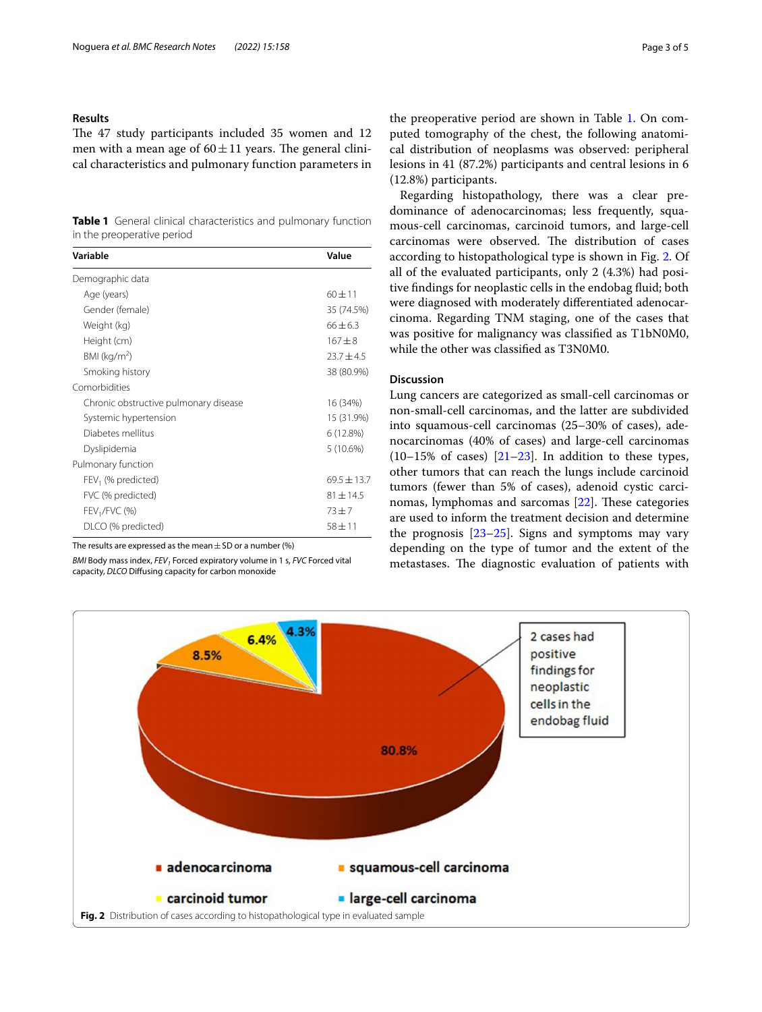## **Results**

The 47 study participants included 35 women and 12 men with a mean age of  $60 \pm 11$  years. The general clinical characteristics and pulmonary function parameters in

<span id="page-2-0"></span>**Table 1** General clinical characteristics and pulmonary function in the preoperative period

| Variable                              | Value           |
|---------------------------------------|-----------------|
| Demographic data                      |                 |
| Age (years)                           | $60 + 11$       |
| Gender (female)                       | 35 (74.5%)      |
| Weight (kg)                           | $66 \pm 6.3$    |
| Height (cm)                           | $167 + 8$       |
| BMI ( $kg/m2$ )                       | $23.7 \pm 4.5$  |
| Smoking history                       | 38 (80.9%)      |
| Comorbidities                         |                 |
| Chronic obstructive pulmonary disease | 16 (34%)        |
| Systemic hypertension                 | 15 (31.9%)      |
| Diabetes mellitus                     | 6(12.8%)        |
| Dyslipidemia                          | 5(10.6%)        |
| Pulmonary function                    |                 |
| FEV <sub>1</sub> (% predicted)        | $69.5 \pm 13.7$ |
| FVC (% predicted)                     | $81 \pm 14.5$   |
| FEV <sub>1</sub> /FVC (%)             | $73 + 7$        |
| DLCO (% predicted)                    | $58 + 11$       |

The results are expressed as the mean  $\pm$  SD or a number (%)

*BMI* Body mass index, *FEV*<sub>1</sub> Forced expiratory volume in 1 s, *FVC* Forced vital capacity, *DLCO* Difusing capacity for carbon monoxide

the preoperative period are shown in Table [1.](#page-2-0) On computed tomography of the chest, the following anatomical distribution of neoplasms was observed: peripheral lesions in 41 (87.2%) participants and central lesions in 6 (12.8%) participants.

Regarding histopathology, there was a clear predominance of adenocarcinomas; less frequently, squamous-cell carcinomas, carcinoid tumors, and large-cell carcinomas were observed. The distribution of cases according to histopathological type is shown in Fig. [2](#page-2-1). Of all of the evaluated participants, only 2 (4.3%) had positive fndings for neoplastic cells in the endobag fuid; both were diagnosed with moderately diferentiated adenocarcinoma. Regarding TNM staging, one of the cases that was positive for malignancy was classifed as T1bN0M0, while the other was classifed as T3N0M0.

## **Discussion**

Lung cancers are categorized as small-cell carcinomas or non-small-cell carcinomas, and the latter are subdivided into squamous-cell carcinomas (25–30% of cases), adenocarcinomas (40% of cases) and large-cell carcinomas (10–15% of cases)  $[21–23]$  $[21–23]$ . In addition to these types, other tumors that can reach the lungs include carcinoid tumors (fewer than 5% of cases), adenoid cystic carcinomas, lymphomas and sarcomas  $[22]$  $[22]$ . These categories are used to inform the treatment decision and determine the prognosis [\[23](#page-4-13)[–25\]](#page-4-15). Signs and symptoms may vary depending on the type of tumor and the extent of the metastases. The diagnostic evaluation of patients with

<span id="page-2-1"></span>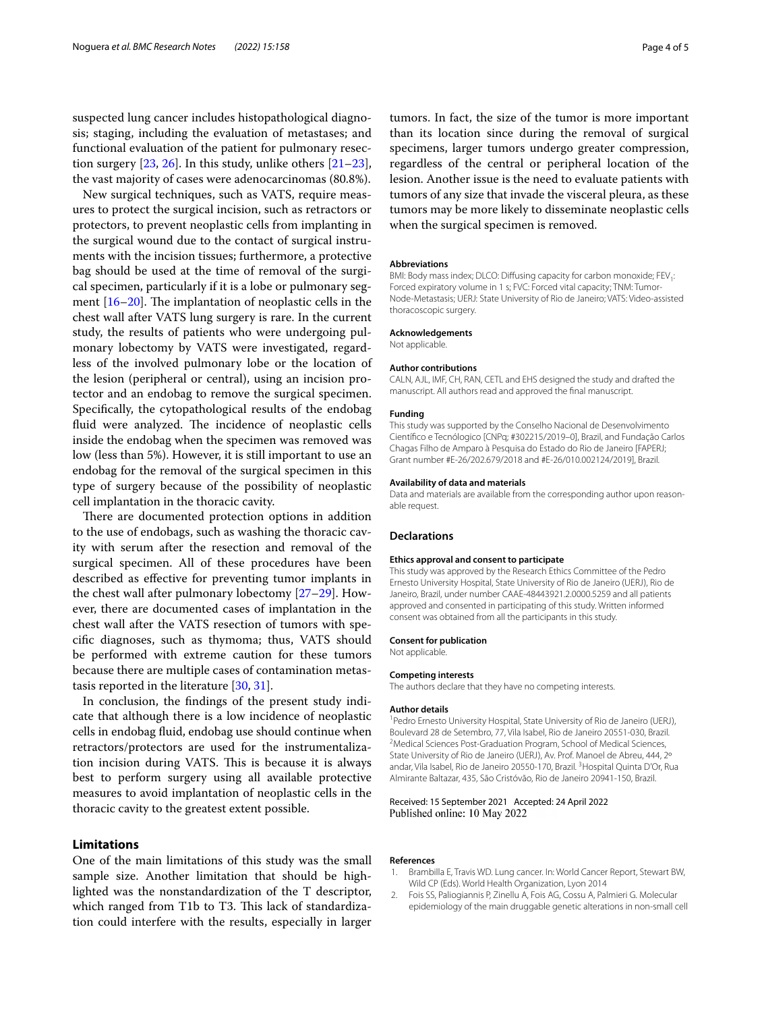suspected lung cancer includes histopathological diagnosis; staging, including the evaluation of metastases; and functional evaluation of the patient for pulmonary resection surgery  $[23, 26]$  $[23, 26]$  $[23, 26]$ . In this study, unlike others  $[21–23]$  $[21–23]$  $[21–23]$  $[21–23]$ , the vast majority of cases were adenocarcinomas (80.8%).

New surgical techniques, such as VATS, require measures to protect the surgical incision, such as retractors or protectors, to prevent neoplastic cells from implanting in the surgical wound due to the contact of surgical instruments with the incision tissues; furthermore, a protective bag should be used at the time of removal of the surgical specimen, particularly if it is a lobe or pulmonary segment  $[16–20]$  $[16–20]$  $[16–20]$  $[16–20]$ . The implantation of neoplastic cells in the chest wall after VATS lung surgery is rare. In the current study, the results of patients who were undergoing pulmonary lobectomy by VATS were investigated, regardless of the involved pulmonary lobe or the location of the lesion (peripheral or central), using an incision protector and an endobag to remove the surgical specimen. Specifcally, the cytopathological results of the endobag fluid were analyzed. The incidence of neoplastic cells inside the endobag when the specimen was removed was low (less than 5%). However, it is still important to use an endobag for the removal of the surgical specimen in this type of surgery because of the possibility of neoplastic cell implantation in the thoracic cavity.

There are documented protection options in addition to the use of endobags, such as washing the thoracic cavity with serum after the resection and removal of the surgical specimen. All of these procedures have been described as efective for preventing tumor implants in the chest wall after pulmonary lobectomy [[27](#page-4-17)[–29](#page-4-18)]. However, there are documented cases of implantation in the chest wall after the VATS resection of tumors with specifc diagnoses, such as thymoma; thus, VATS should be performed with extreme caution for these tumors because there are multiple cases of contamination metastasis reported in the literature [[30,](#page-4-19) [31](#page-4-20)].

In conclusion, the fndings of the present study indicate that although there is a low incidence of neoplastic cells in endobag fuid, endobag use should continue when retractors/protectors are used for the instrumentalization incision during VATS. This is because it is always best to perform surgery using all available protective measures to avoid implantation of neoplastic cells in the thoracic cavity to the greatest extent possible.

## **Limitations**

One of the main limitations of this study was the small sample size. Another limitation that should be highlighted was the nonstandardization of the T descriptor, which ranged from T1b to T3. This lack of standardization could interfere with the results, especially in larger tumors. In fact, the size of the tumor is more important than its location since during the removal of surgical specimens, larger tumors undergo greater compression, regardless of the central or peripheral location of the lesion. Another issue is the need to evaluate patients with tumors of any size that invade the visceral pleura, as these tumors may be more likely to disseminate neoplastic cells when the surgical specimen is removed.

#### **Abbreviations**

BMI: Body mass index; DLCO: Diffusing capacity for carbon monoxide;  $FEV<sub>1</sub>$ : Forced expiratory volume in 1 s; FVC: Forced vital capacity; TNM: Tumor-Node-Metastasis; UERJ: State University of Rio de Janeiro; VATS: Video-assisted thoracoscopic surgery.

#### **Acknowledgements**

Not applicable.

### **Author contributions**

CALN, AJL, IMF, CH, RAN, CETL and EHS designed the study and drafted the manuscript. All authors read and approved the fnal manuscript.

#### **Funding**

This study was supported by the Conselho Nacional de Desenvolvimento Científco e Tecnólogico [CNPq; #302215/2019–0], Brazil, and Fundação Carlos Chagas Filho de Amparo à Pesquisa do Estado do Rio de Janeiro [FAPERJ; Grant number #E-26/202.679/2018 and #E-26/010.002124/2019], Brazil.

#### **Availability of data and materials**

Data and materials are available from the corresponding author upon reasonable request.

#### **Declarations**

#### **Ethics approval and consent to participate**

This study was approved by the Research Ethics Committee of the Pedro Ernesto University Hospital, State University of Rio de Janeiro (UERJ), Rio de Janeiro, Brazil, under number CAAE-48443921.2.0000.5259 and all patients approved and consented in participating of this study. Written informed consent was obtained from all the participants in this study.

#### **Consent for publication**

Not applicable.

#### **Competing interests**

The authors declare that they have no competing interests.

#### **Author details**

<sup>1</sup> Pedro Ernesto University Hospital, State University of Rio de Janeiro (UERJ), Boulevard 28 de Setembro, 77, Vila Isabel, Rio de Janeiro 20551-030, Brazil. 2 <sup>2</sup>Medical Sciences Post-Graduation Program, School of Medical Sciences, State University of Rio de Janeiro (UERJ), Av. Prof. Manoel de Abreu, 444, 2º andar, Vila Isabel, Rio de Janeiro 20550-170, Brazil. <sup>3</sup> Hospital Quinta D'Or, Rua Almirante Baltazar, 435, São Cristóvão, Rio de Janeiro 20941-150, Brazil.

#### Received: 15 September 2021 Accepted: 24 April 2022 Published online: 10 May 2022

#### **References**

- <span id="page-3-0"></span>1. Brambilla E, Travis WD. Lung cancer. In: World Cancer Report, Stewart BW, Wild CP (Eds). World Health Organization, Lyon 2014
- 2. Fois SS, Paliogiannis P, Zinellu A, Fois AG, Cossu A, Palmieri G. Molecular epidemiology of the main druggable genetic alterations in non-small cell